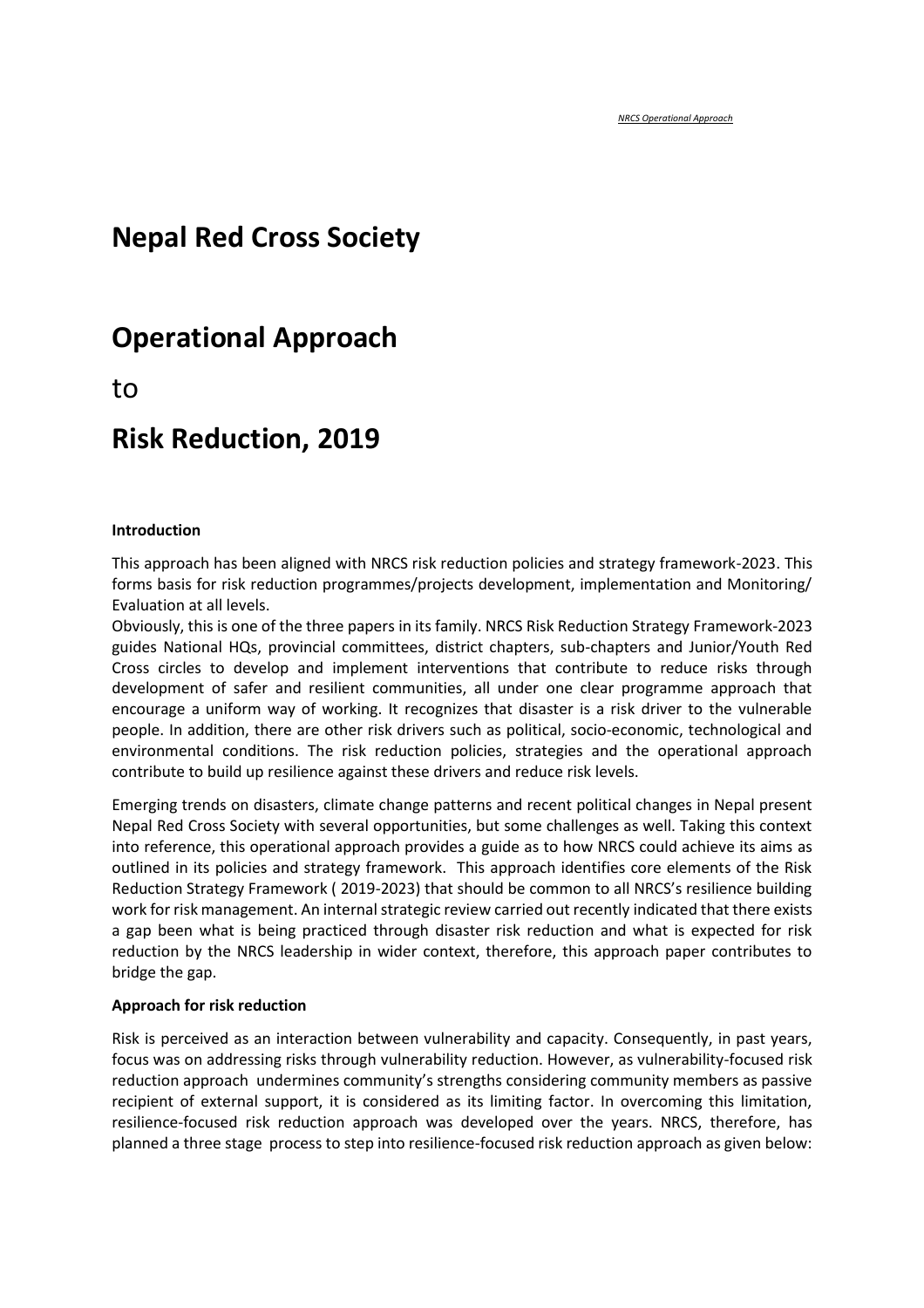# **Nepal Red Cross Society**

# **Operational Approach**

to

# **Risk Reduction, 2019**

#### **Introduction**

This approach has been aligned with NRCS risk reduction policies and strategy framework-2023. This forms basis for risk reduction programmes/projects development, implementation and Monitoring/ Evaluation at all levels.

Obviously, this is one of the three papers in its family. NRCS Risk Reduction Strategy Framework-2023 guides National HQs, provincial committees, district chapters, sub-chapters and Junior/Youth Red Cross circles to develop and implement interventions that contribute to reduce risks through development of safer and resilient communities, all under one clear programme approach that encourage a uniform way of working. It recognizes that disaster is a risk driver to the vulnerable people. In addition, there are other risk drivers such as political, socio-economic, technological and environmental conditions. The risk reduction policies, strategies and the operational approach contribute to build up resilience against these drivers and reduce risk levels.

Emerging trends on disasters, climate change patterns and recent political changes in Nepal present Nepal Red Cross Society with several opportunities, but some challenges as well. Taking this context into reference, this operational approach provides a guide as to how NRCS could achieve its aims as outlined in its policies and strategy framework. This approach identifies core elements of the Risk Reduction Strategy Framework ( 2019-2023) that should be common to all NRCS's resilience building work for risk management. An internal strategic review carried out recently indicated that there exists a gap been what is being practiced through disaster risk reduction and what is expected for risk reduction by the NRCS leadership in wider context, therefore, this approach paper contributes to bridge the gap.

#### **Approach for risk reduction**

Risk is perceived as an interaction between vulnerability and capacity. Consequently, in past years, focus was on addressing risks through vulnerability reduction. However, as vulnerability-focused risk reduction approach undermines community's strengths considering community members as passive recipient of external support, it is considered as its limiting factor. In overcoming this limitation, resilience-focused risk reduction approach was developed over the years. NRCS, therefore, has planned a three stage process to step into resilience-focused risk reduction approach as given below: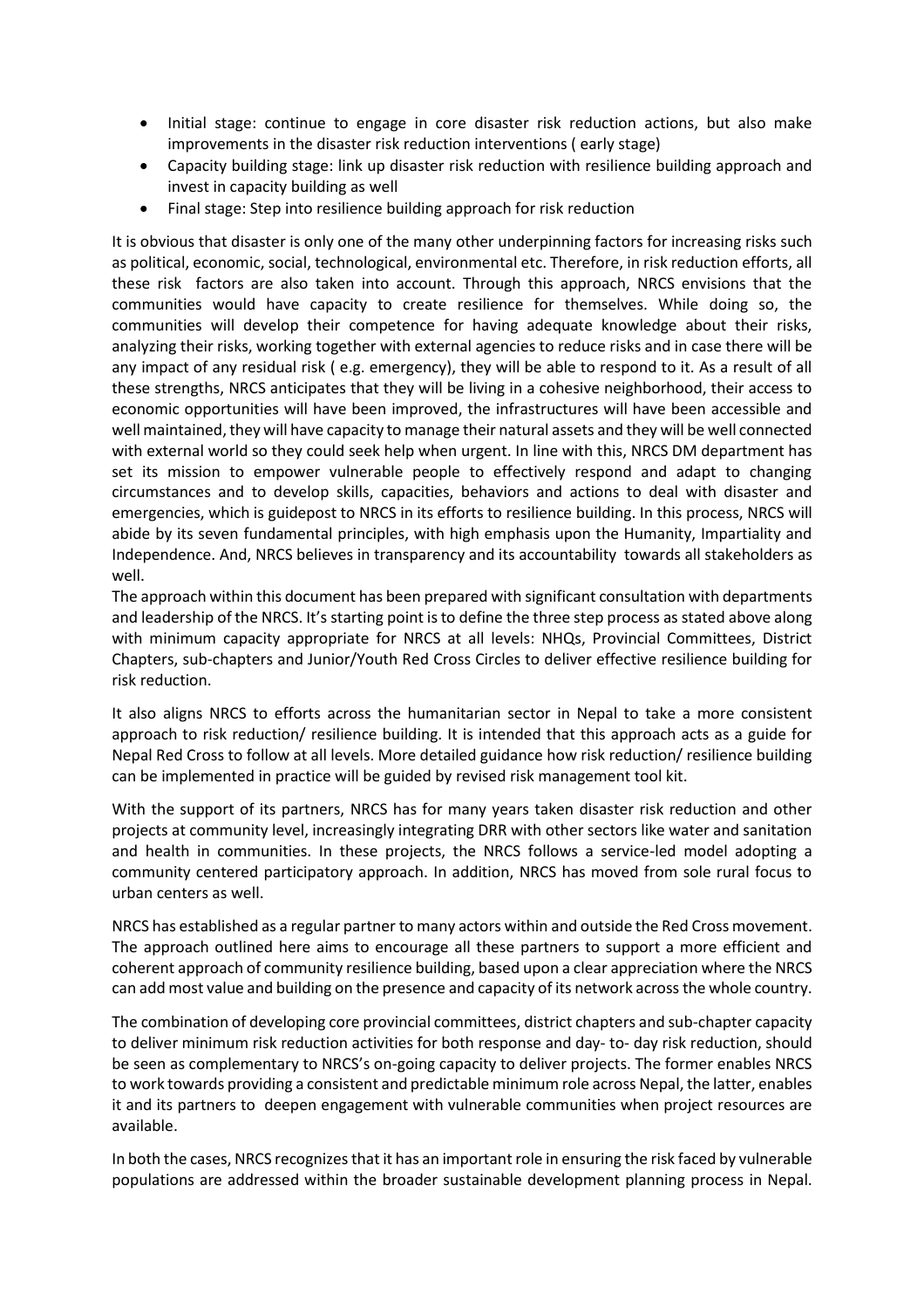- Initial stage: continue to engage in core disaster risk reduction actions, but also make improvements in the disaster risk reduction interventions ( early stage)
- Capacity building stage: link up disaster risk reduction with resilience building approach and invest in capacity building as well
- Final stage: Step into resilience building approach for risk reduction

It is obvious that disaster is only one of the many other underpinning factors for increasing risks such as political, economic, social, technological, environmental etc. Therefore, in risk reduction efforts, all these risk factors are also taken into account. Through this approach, NRCS envisions that the communities would have capacity to create resilience for themselves. While doing so, the communities will develop their competence for having adequate knowledge about their risks, analyzing their risks, working together with external agencies to reduce risks and in case there will be any impact of any residual risk ( e.g. emergency), they will be able to respond to it. As a result of all these strengths, NRCS anticipates that they will be living in a cohesive neighborhood, their access to economic opportunities will have been improved, the infrastructures will have been accessible and well maintained, they will have capacity to manage their natural assets and they will be well connected with external world so they could seek help when urgent. In line with this, NRCS DM department has set its mission to empower vulnerable people to effectively respond and adapt to changing circumstances and to develop skills, capacities, behaviors and actions to deal with disaster and emergencies, which is guidepost to NRCS in its efforts to resilience building. In this process, NRCS will abide by its seven fundamental principles, with high emphasis upon the Humanity, Impartiality and Independence. And, NRCS believes in transparency and its accountability towards all stakeholders as well.

The approach within this document has been prepared with significant consultation with departments and leadership of the NRCS. It's starting point is to define the three step process as stated above along with minimum capacity appropriate for NRCS at all levels: NHQs, Provincial Committees, District Chapters, sub-chapters and Junior/Youth Red Cross Circles to deliver effective resilience building for risk reduction.

It also aligns NRCS to efforts across the humanitarian sector in Nepal to take a more consistent approach to risk reduction/ resilience building. It is intended that this approach acts as a guide for Nepal Red Cross to follow at all levels. More detailed guidance how risk reduction/ resilience building can be implemented in practice will be guided by revised risk management tool kit.

With the support of its partners, NRCS has for many years taken disaster risk reduction and other projects at community level, increasingly integrating DRR with other sectors like water and sanitation and health in communities. In these projects, the NRCS follows a service-led model adopting a community centered participatory approach. In addition, NRCS has moved from sole rural focus to urban centers as well.

NRCS has established as a regular partner to many actors within and outside the Red Cross movement. The approach outlined here aims to encourage all these partners to support a more efficient and coherent approach of community resilience building, based upon a clear appreciation where the NRCS can add most value and building on the presence and capacity of its network across the whole country.

The combination of developing core provincial committees, district chapters and sub-chapter capacity to deliver minimum risk reduction activities for both response and day- to- day risk reduction, should be seen as complementary to NRCS's on-going capacity to deliver projects. The former enables NRCS to work towards providing a consistent and predictable minimum role across Nepal, the latter, enables it and its partners to deepen engagement with vulnerable communities when project resources are available.

In both the cases, NRCS recognizes that it has an important role in ensuring the risk faced by vulnerable populations are addressed within the broader sustainable development planning process in Nepal.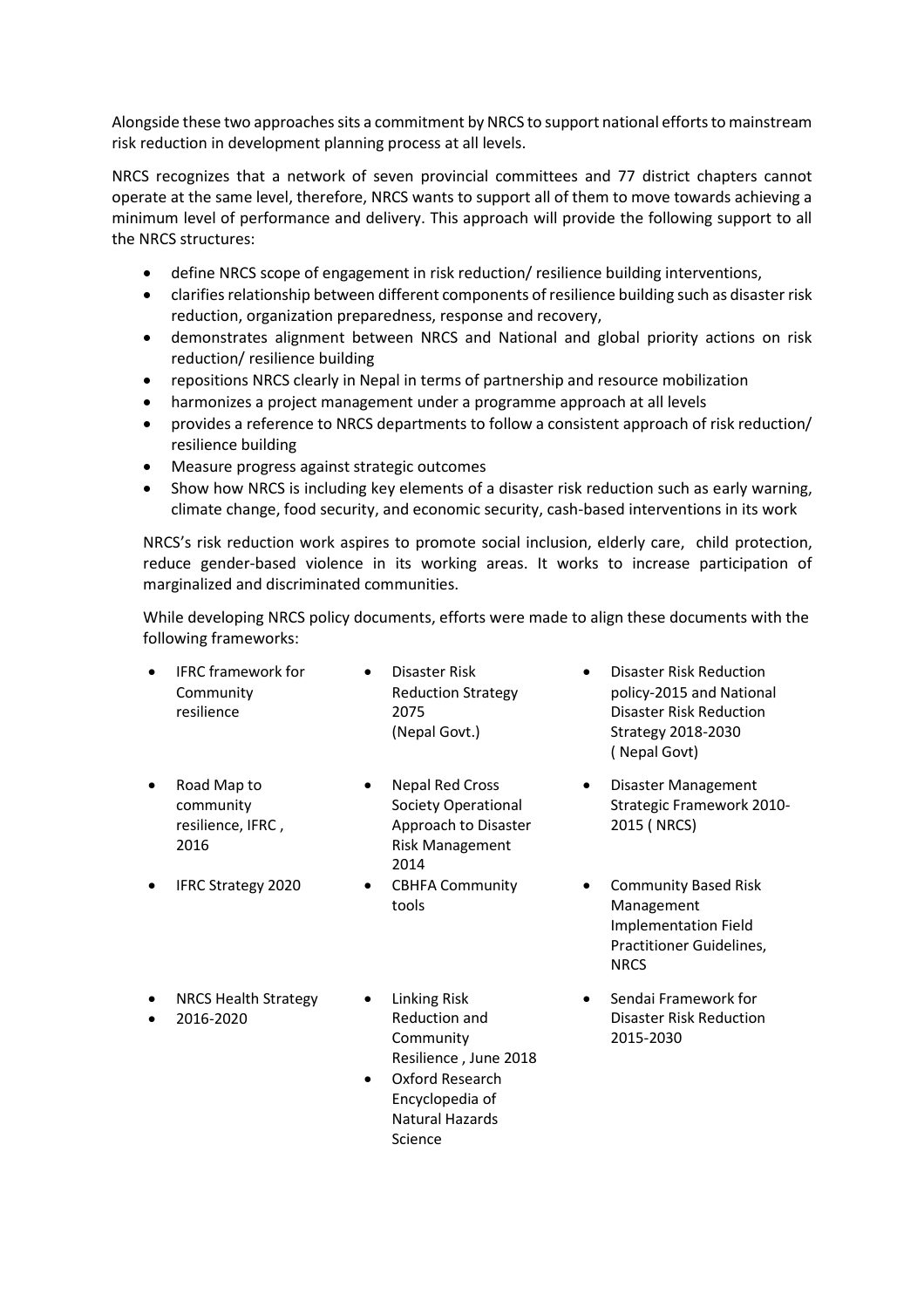Alongside these two approaches sits a commitment by NRCS to support national efforts to mainstream risk reduction in development planning process at all levels.

NRCS recognizes that a network of seven provincial committees and 77 district chapters cannot operate at the same level, therefore, NRCS wants to support all of them to move towards achieving a minimum level of performance and delivery. This approach will provide the following support to all the NRCS structures:

- define NRCS scope of engagement in risk reduction/ resilience building interventions,
- clarifies relationship between different components of resilience building such as disaster risk reduction, organization preparedness, response and recovery,
- demonstrates alignment between NRCS and National and global priority actions on risk reduction/ resilience building
- repositions NRCS clearly in Nepal in terms of partnership and resource mobilization
- harmonizes a project management under a programme approach at all levels
- provides a reference to NRCS departments to follow a consistent approach of risk reduction/ resilience building
- Measure progress against strategic outcomes
- Show how NRCS is including key elements of a disaster risk reduction such as early warning, climate change, food security, and economic security, cash-based interventions in its work

NRCS's risk reduction work aspires to promote social inclusion, elderly care, child protection, reduce gender-based violence in its working areas. It works to increase participation of marginalized and discriminated communities.

While developing NRCS policy documents, efforts were made to align these documents with the following frameworks:

| $\bullet$ | <b>IFRC</b> framework for | Disaster Risk             | <b>Disaster Risk Reduction</b> |
|-----------|---------------------------|---------------------------|--------------------------------|
|           | Community                 | <b>Reduction Strategy</b> | policy-2015 and National       |
|           | resilience                | 2075                      | Disaster Risk Reduction        |
|           |                           | (Nepal Govt.)             | Strategy 2018-2030             |
|           |                           |                           |                                |

- Road Map to community resilience, IFRC , 2016
- 
- Nepal Red Cross Society Operational Approach to Disaster Risk Management 2014
- IFRC Strategy 2020 CBHFA Community tools
- policy-2015 and National ( Nepal Govt)
- Disaster Management Strategic Framework 2010- 2015 ( NRCS)
- Community Based Risk Management Implementation Field Practitioner Guidelines, NRCS
- Sendai Framework for Disaster Risk Reduction 2015-2030
- NRCS Health Strategy
- 2016-2020
- Linking Risk Reduction and Community Resilience , June 2018
- Oxford Research Encyclopedia of Natural Hazards Science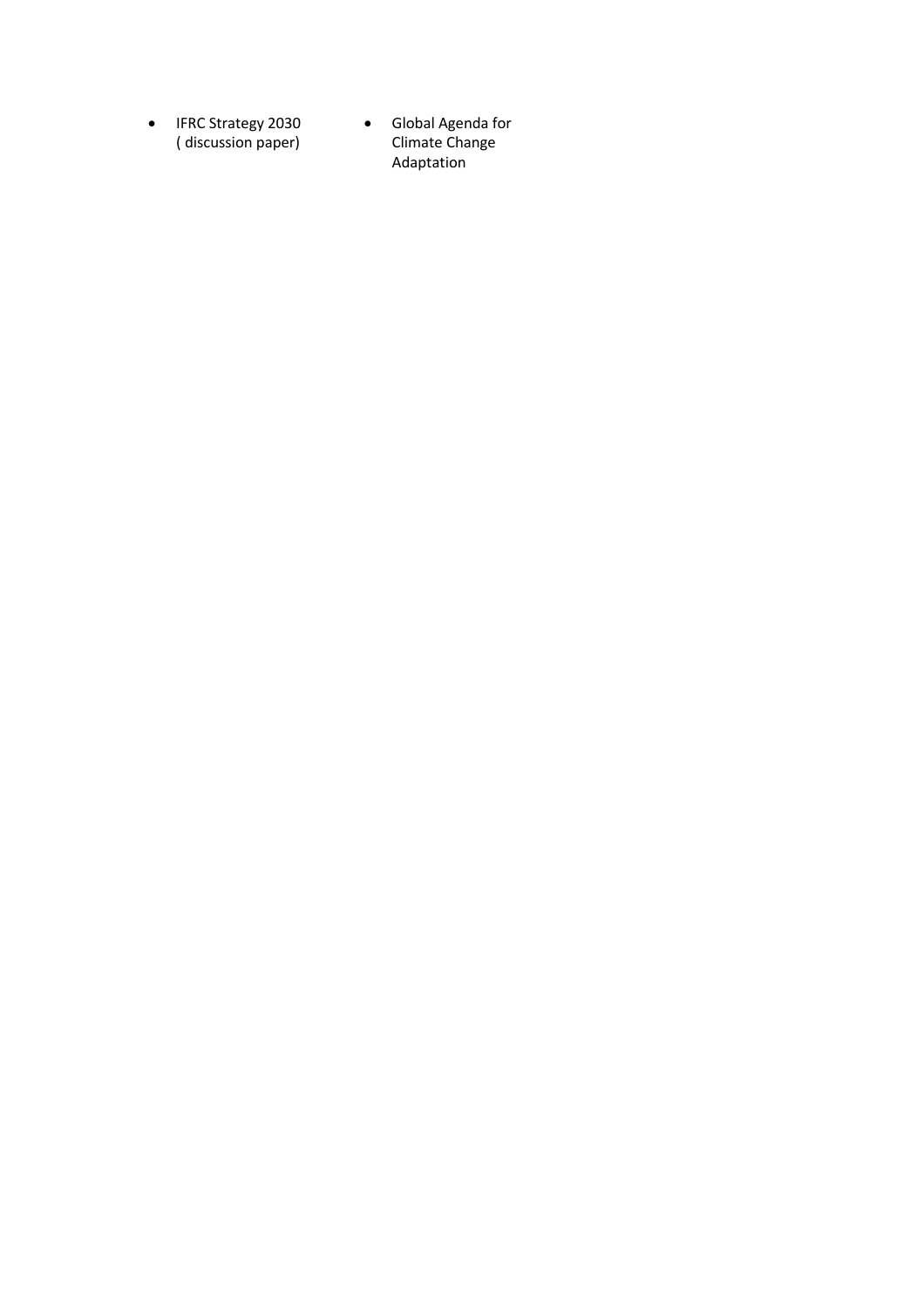- IFRC Strategy 2030 ( discussion paper)
- Global Agenda for Climate Change Adaptation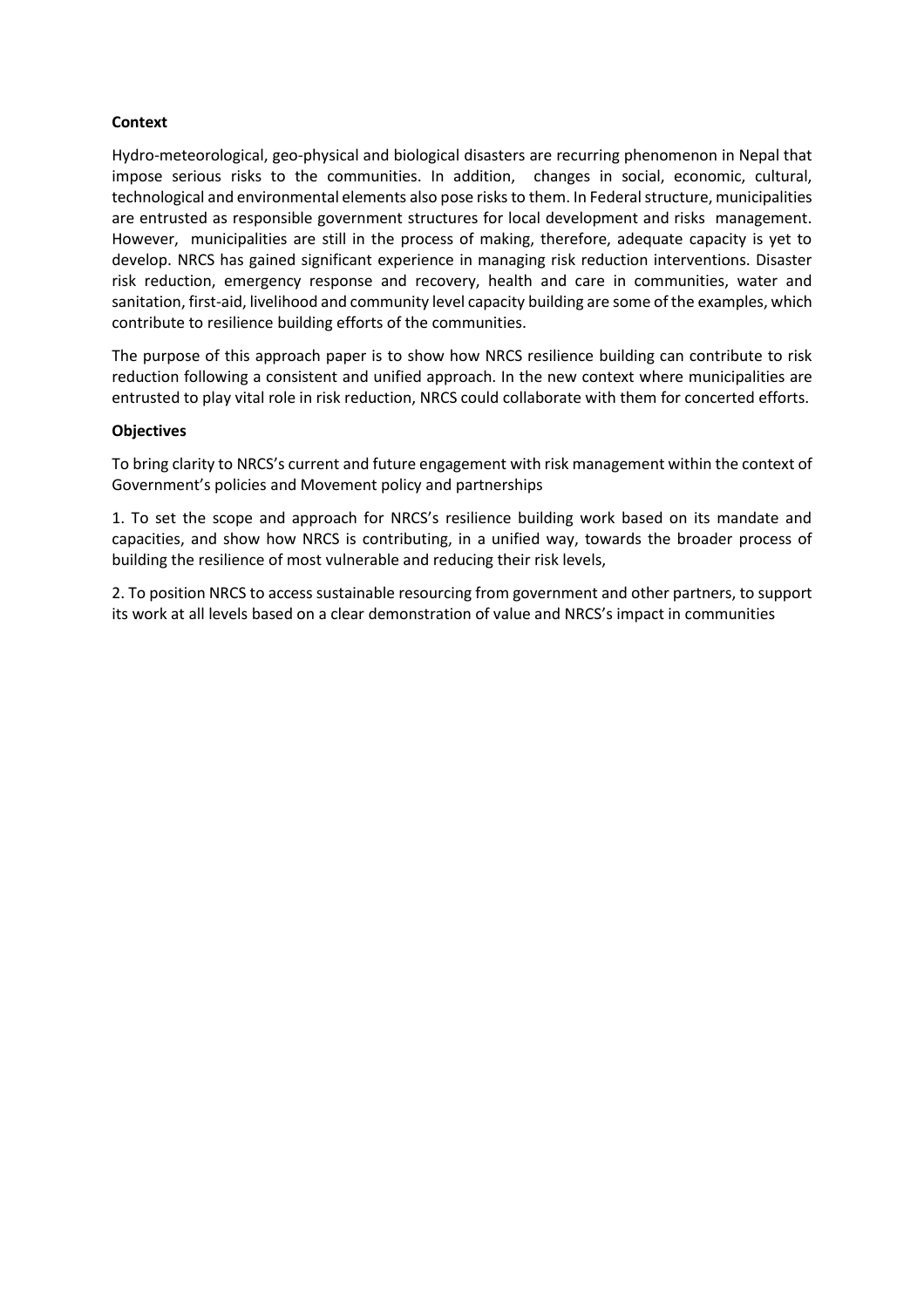### **Context**

Hydro-meteorological, geo-physical and biological disasters are recurring phenomenon in Nepal that impose serious risks to the communities. In addition, changes in social, economic, cultural, technological and environmental elements also pose risks to them. In Federal structure, municipalities are entrusted as responsible government structures for local development and risks management. However, municipalities are still in the process of making, therefore, adequate capacity is yet to develop. NRCS has gained significant experience in managing risk reduction interventions. Disaster risk reduction, emergency response and recovery, health and care in communities, water and sanitation, first-aid, livelihood and community level capacity building are some of the examples, which contribute to resilience building efforts of the communities.

The purpose of this approach paper is to show how NRCS resilience building can contribute to risk reduction following a consistent and unified approach. In the new context where municipalities are entrusted to play vital role in risk reduction, NRCS could collaborate with them for concerted efforts.

### **Objectives**

To bring clarity to NRCS's current and future engagement with risk management within the context of Government's policies and Movement policy and partnerships

1. To set the scope and approach for NRCS's resilience building work based on its mandate and capacities, and show how NRCS is contributing, in a unified way, towards the broader process of building the resilience of most vulnerable and reducing their risk levels,

2. To position NRCS to access sustainable resourcing from government and other partners, to support its work at all levels based on a clear demonstration of value and NRCS's impact in communities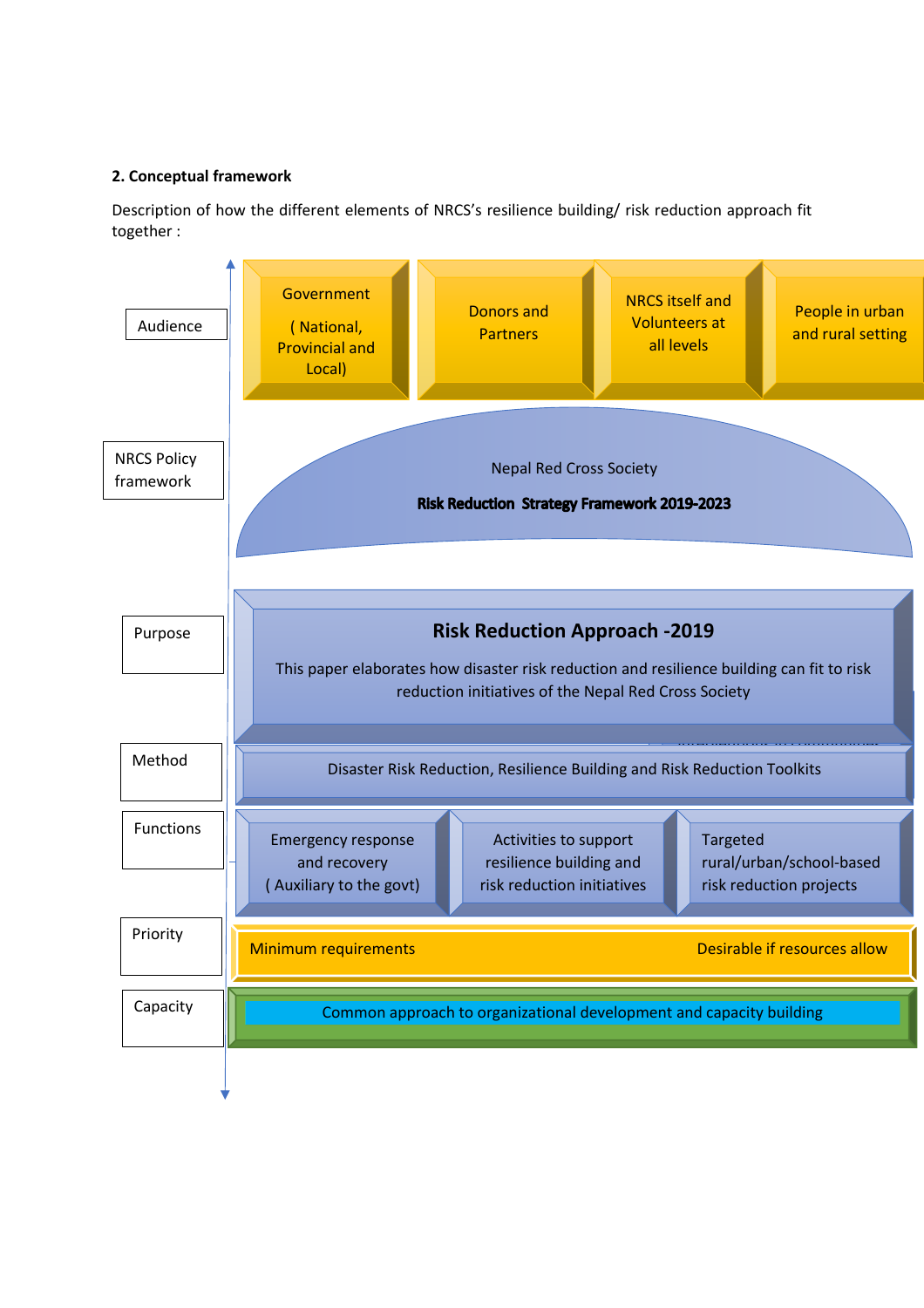## **2. Conceptual framework**

Description of how the different elements of NRCS's resilience building/ risk reduction approach fit together :

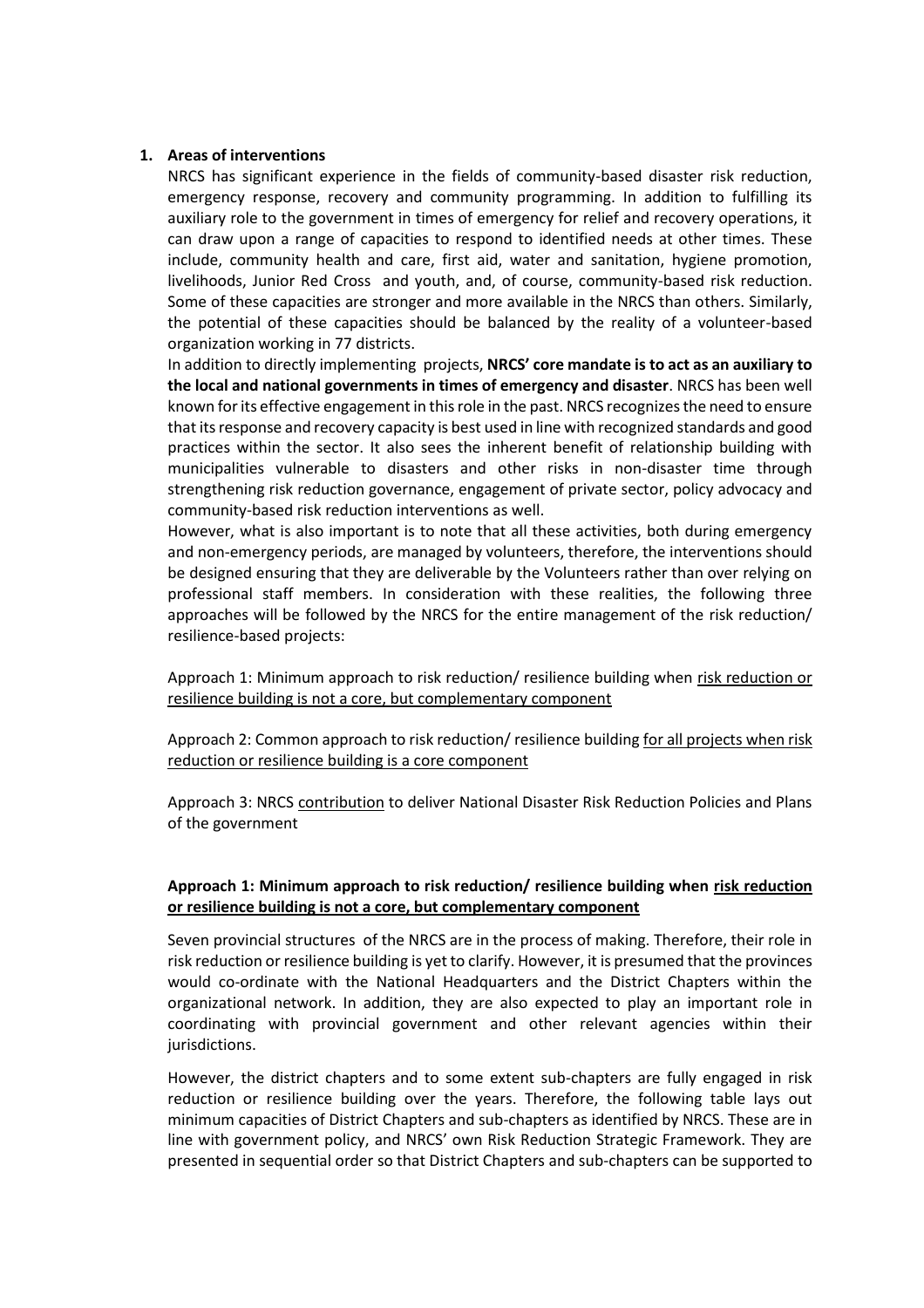#### **1. Areas of interventions**

NRCS has significant experience in the fields of community-based disaster risk reduction, emergency response, recovery and community programming. In addition to fulfilling its auxiliary role to the government in times of emergency for relief and recovery operations, it can draw upon a range of capacities to respond to identified needs at other times. These include, community health and care, first aid, water and sanitation, hygiene promotion, livelihoods, Junior Red Cross and youth, and, of course, community-based risk reduction. Some of these capacities are stronger and more available in the NRCS than others. Similarly, the potential of these capacities should be balanced by the reality of a volunteer-based organization working in 77 districts.

In addition to directly implementing projects, **NRCS' core mandate is to act as an auxiliary to the local and national governments in times of emergency and disaster**. NRCS has been well known for its effective engagement in this role in the past. NRCS recognizes the need to ensure that its response and recovery capacity is best used in line with recognized standards and good practices within the sector. It also sees the inherent benefit of relationship building with municipalities vulnerable to disasters and other risks in non-disaster time through strengthening risk reduction governance, engagement of private sector, policy advocacy and community-based risk reduction interventions as well.

However, what is also important is to note that all these activities, both during emergency and non-emergency periods, are managed by volunteers, therefore, the interventions should be designed ensuring that they are deliverable by the Volunteers rather than over relying on professional staff members. In consideration with these realities, the following three approaches will be followed by the NRCS for the entire management of the risk reduction/ resilience-based projects:

Approach 1: Minimum approach to risk reduction/ resilience building when risk reduction or resilience building is not a core, but complementary component

Approach 2: Common approach to risk reduction/ resilience building for all projects when risk reduction or resilience building is a core component

Approach 3: NRCS contribution to deliver National Disaster Risk Reduction Policies and Plans of the government

## **Approach 1: Minimum approach to risk reduction/ resilience building when risk reduction or resilience building is not a core, but complementary component**

Seven provincial structures of the NRCS are in the process of making. Therefore, their role in risk reduction or resilience building is yet to clarify. However, it is presumed that the provinces would co-ordinate with the National Headquarters and the District Chapters within the organizational network. In addition, they are also expected to play an important role in coordinating with provincial government and other relevant agencies within their jurisdictions.

However, the district chapters and to some extent sub-chapters are fully engaged in risk reduction or resilience building over the years. Therefore, the following table lays out minimum capacities of District Chapters and sub-chapters as identified by NRCS. These are in line with government policy, and NRCS' own Risk Reduction Strategic Framework. They are presented in sequential order so that District Chapters and sub-chapters can be supported to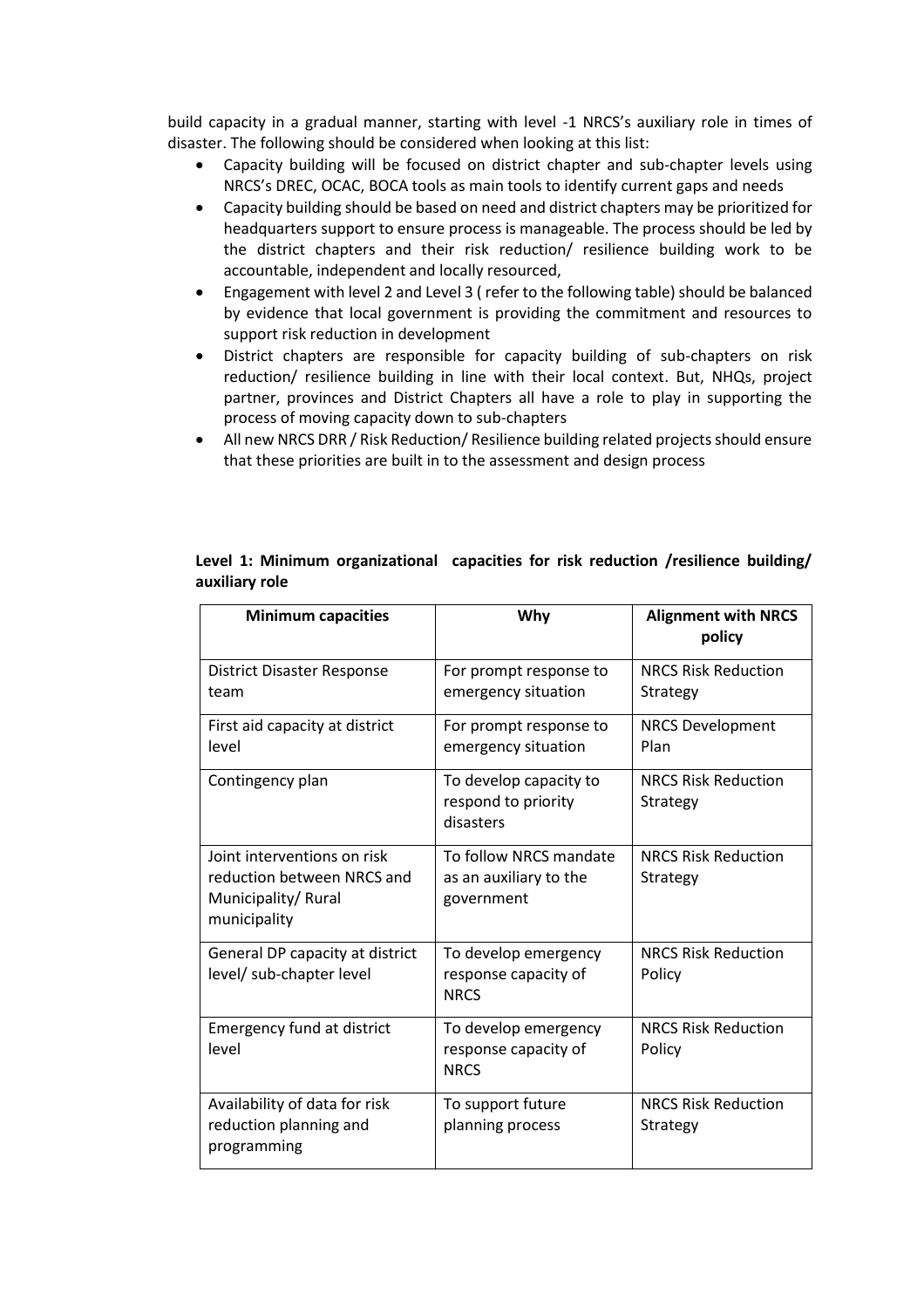build capacity in a gradual manner, starting with level -1 NRCS's auxiliary role in times of disaster. The following should be considered when looking at this list:

- Capacity building will be focused on district chapter and sub-chapter levels using NRCS's DREC, OCAC, BOCA tools as main tools to identify current gaps and needs
- Capacity building should be based on need and district chapters may be prioritized for headquarters support to ensure process is manageable. The process should be led by the district chapters and their risk reduction/ resilience building work to be accountable, independent and locally resourced,
- Engagement with level 2 and Level 3 ( refer to the following table) should be balanced by evidence that local government is providing the commitment and resources to support risk reduction in development
- District chapters are responsible for capacity building of sub-chapters on risk reduction/ resilience building in line with their local context. But, NHQs, project partner, provinces and District Chapters all have a role to play in supporting the process of moving capacity down to sub-chapters
- All new NRCS DRR / Risk Reduction/ Resilience building related projects should ensure that these priorities are built in to the assessment and design process

| <b>Minimum capacities</b>                                                                       | Why                                                            | <b>Alignment with NRCS</b><br>policy   |
|-------------------------------------------------------------------------------------------------|----------------------------------------------------------------|----------------------------------------|
| <b>District Disaster Response</b><br>team                                                       | For prompt response to<br>emergency situation                  | <b>NRCS Risk Reduction</b><br>Strategy |
| First aid capacity at district<br>level                                                         | For prompt response to<br>emergency situation                  | <b>NRCS Development</b><br>Plan        |
| Contingency plan                                                                                | To develop capacity to<br>respond to priority<br>disasters     | <b>NRCS Risk Reduction</b><br>Strategy |
| Joint interventions on risk<br>reduction between NRCS and<br>Municipality/Rural<br>municipality | To follow NRCS mandate<br>as an auxiliary to the<br>government | <b>NRCS Risk Reduction</b><br>Strategy |
| General DP capacity at district<br>level/ sub-chapter level                                     | To develop emergency<br>response capacity of<br><b>NRCS</b>    | <b>NRCS Risk Reduction</b><br>Policy   |
| <b>Emergency fund at district</b><br>level                                                      | To develop emergency<br>response capacity of<br><b>NRCS</b>    | <b>NRCS Risk Reduction</b><br>Policy   |
| Availability of data for risk<br>reduction planning and<br>programming                          | To support future<br>planning process                          | <b>NRCS Risk Reduction</b><br>Strategy |

## **Level 1: Minimum organizational capacities for risk reduction /resilience building/ auxiliary role**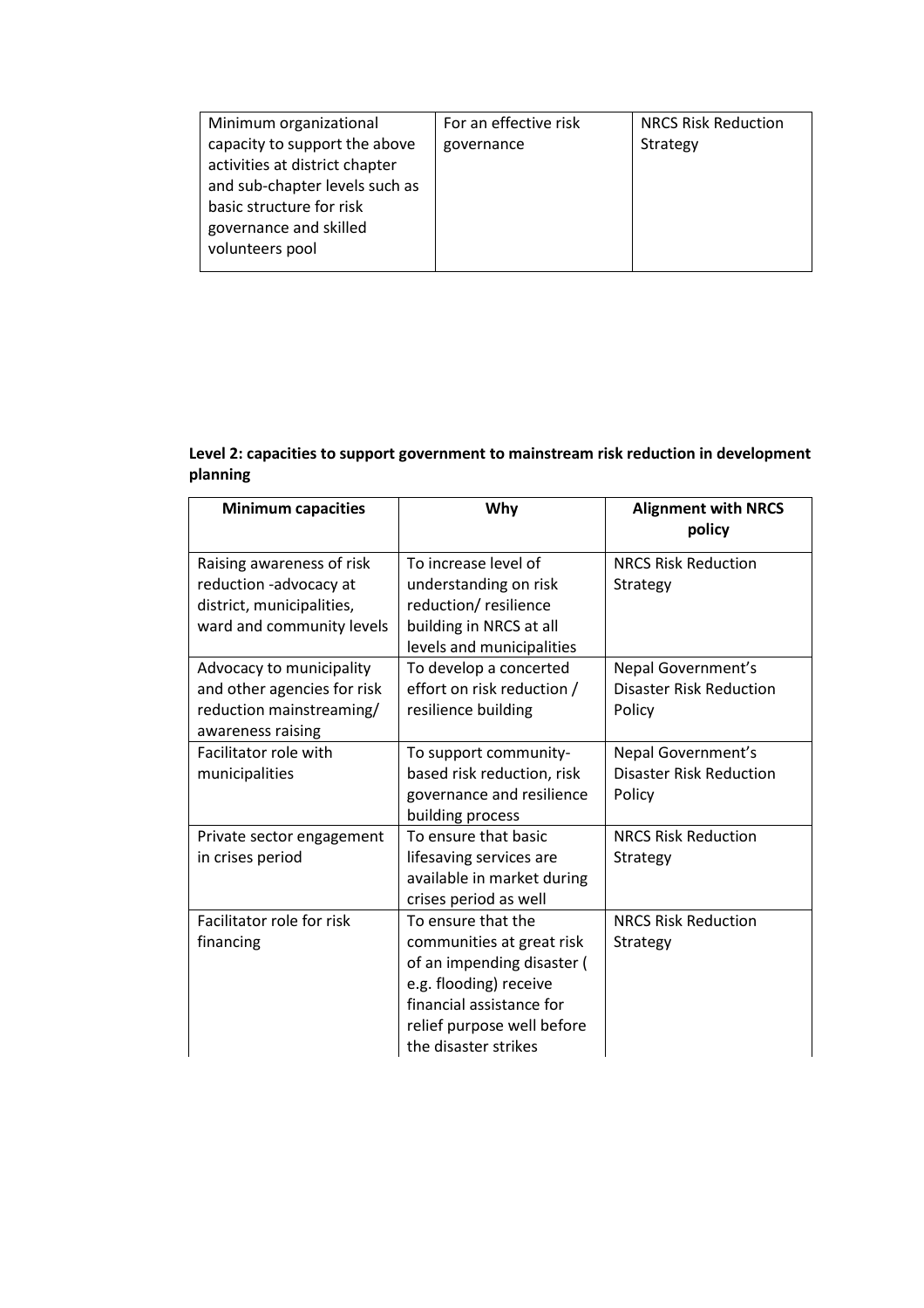| Minimum organizational         | For an effective risk | <b>NRCS Risk Reduction</b> |
|--------------------------------|-----------------------|----------------------------|
| capacity to support the above  | governance            | Strategy                   |
| activities at district chapter |                       |                            |
| and sub-chapter levels such as |                       |                            |
| basic structure for risk       |                       |                            |
| governance and skilled         |                       |                            |
| volunteers pool                |                       |                            |
|                                |                       |                            |

## **Level 2: capacities to support government to mainstream risk reduction in development planning**

| <b>Minimum capacities</b>                                                                                | Why                                                                                                                                                                                       | <b>Alignment with NRCS</b><br>policy                           |
|----------------------------------------------------------------------------------------------------------|-------------------------------------------------------------------------------------------------------------------------------------------------------------------------------------------|----------------------------------------------------------------|
| Raising awareness of risk<br>reduction -advocacy at                                                      | To increase level of<br>understanding on risk                                                                                                                                             | <b>NRCS Risk Reduction</b><br>Strategy                         |
| district, municipalities,<br>ward and community levels                                                   | reduction/resilience<br>building in NRCS at all<br>levels and municipalities                                                                                                              |                                                                |
| Advocacy to municipality<br>and other agencies for risk<br>reduction mainstreaming/<br>awareness raising | To develop a concerted<br>effort on risk reduction /<br>resilience building                                                                                                               | Nepal Government's<br><b>Disaster Risk Reduction</b><br>Policy |
| Facilitator role with<br>municipalities                                                                  | To support community-<br>based risk reduction, risk<br>governance and resilience<br>building process                                                                                      | Nepal Government's<br><b>Disaster Risk Reduction</b><br>Policy |
| Private sector engagement<br>in crises period                                                            | To ensure that basic<br>lifesaving services are<br>available in market during<br>crises period as well                                                                                    | <b>NRCS Risk Reduction</b><br>Strategy                         |
| Facilitator role for risk<br>financing                                                                   | To ensure that the<br>communities at great risk<br>of an impending disaster (<br>e.g. flooding) receive<br>financial assistance for<br>relief purpose well before<br>the disaster strikes | <b>NRCS Risk Reduction</b><br>Strategy                         |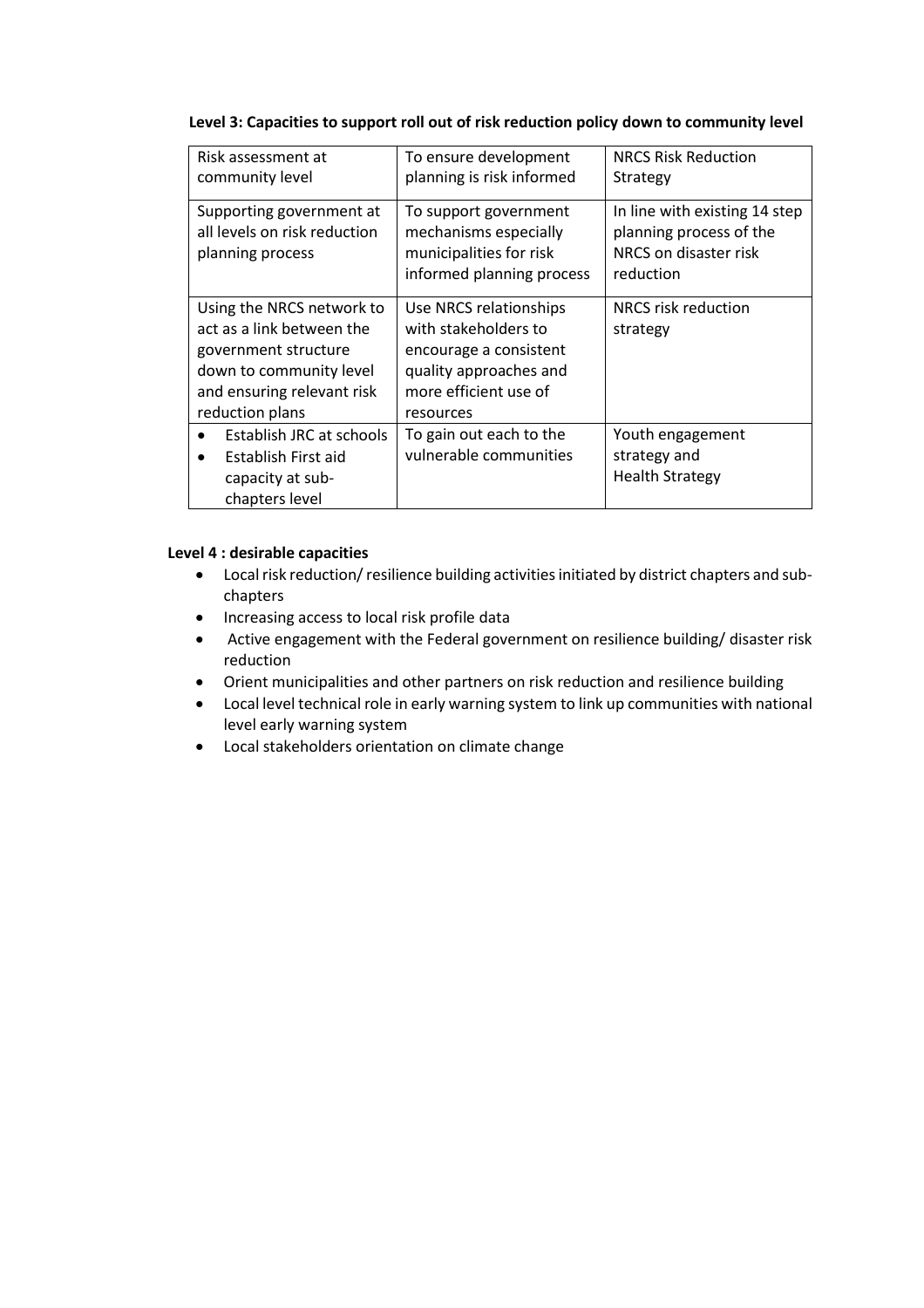## **Level 3: Capacities to support roll out of risk reduction policy down to community level**

| Risk assessment at<br>community level                                                                                                                      | To ensure development<br>planning is risk informed                                                                                       | <b>NRCS Risk Reduction</b><br>Strategy                                                         |
|------------------------------------------------------------------------------------------------------------------------------------------------------------|------------------------------------------------------------------------------------------------------------------------------------------|------------------------------------------------------------------------------------------------|
| Supporting government at<br>all levels on risk reduction<br>planning process                                                                               | To support government<br>mechanisms especially<br>municipalities for risk<br>informed planning process                                   | In line with existing 14 step<br>planning process of the<br>NRCS on disaster risk<br>reduction |
| Using the NRCS network to<br>act as a link between the<br>government structure<br>down to community level<br>and ensuring relevant risk<br>reduction plans | Use NRCS relationships<br>with stakeholders to<br>encourage a consistent<br>quality approaches and<br>more efficient use of<br>resources | NRCS risk reduction<br>strategy                                                                |
| Establish JRC at schools<br>Establish First aid<br>$\bullet$<br>capacity at sub-<br>chapters level                                                         | To gain out each to the<br>vulnerable communities                                                                                        | Youth engagement<br>strategy and<br><b>Health Strategy</b>                                     |

### **Level 4 : desirable capacities**

- Local risk reduction/ resilience building activities initiated by district chapters and subchapters
- Increasing access to local risk profile data
- Active engagement with the Federal government on resilience building/ disaster risk reduction
- Orient municipalities and other partners on risk reduction and resilience building
- Local level technical role in early warning system to link up communities with national level early warning system
- Local stakeholders orientation on climate change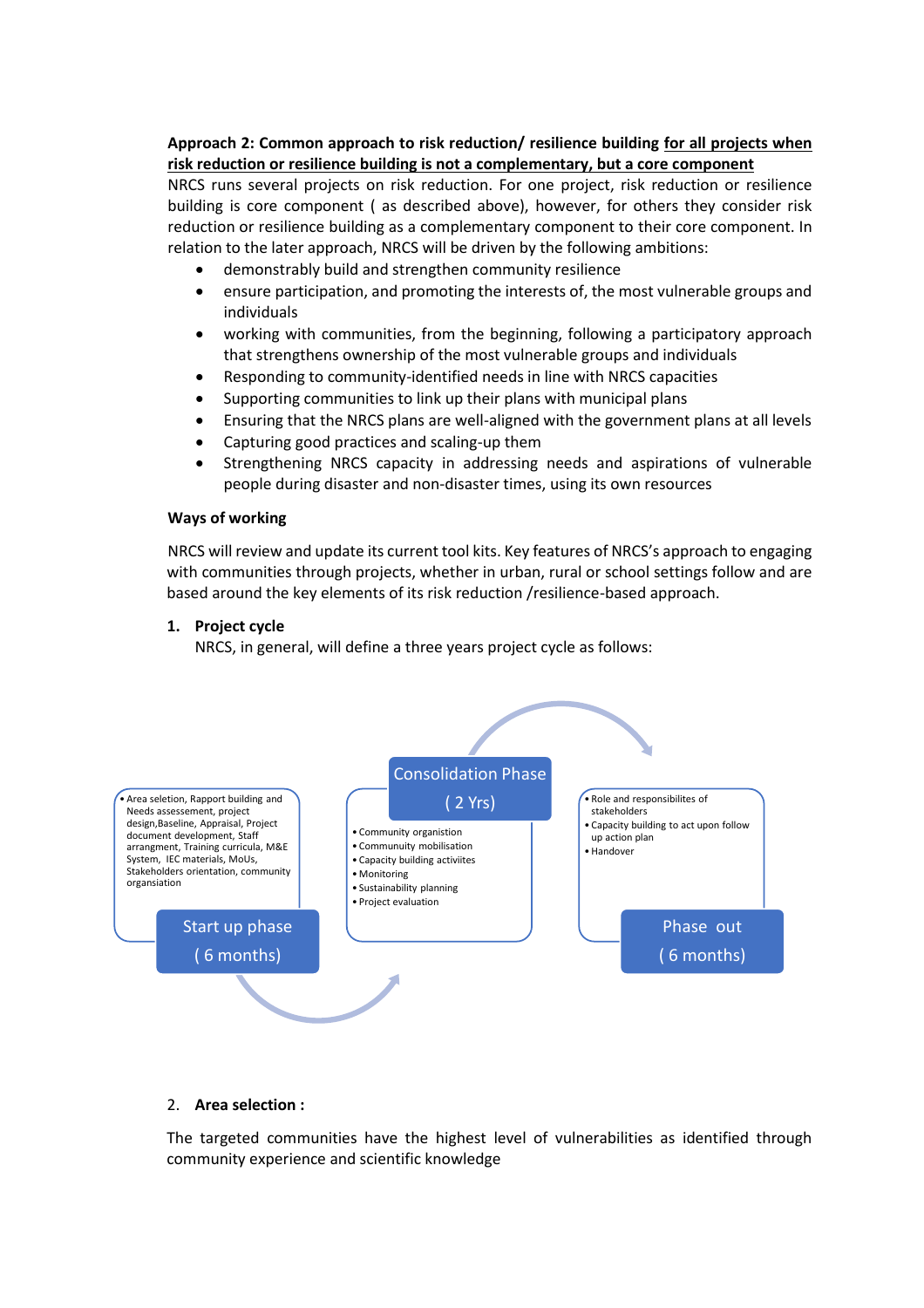## **Approach 2: Common approach to risk reduction/ resilience building for all projects when risk reduction or resilience building is not a complementary, but a core component**

NRCS runs several projects on risk reduction. For one project, risk reduction or resilience building is core component ( as described above), however, for others they consider risk reduction or resilience building as a complementary component to their core component. In relation to the later approach, NRCS will be driven by the following ambitions:

- demonstrably build and strengthen community resilience
- ensure participation, and promoting the interests of, the most vulnerable groups and individuals
- working with communities, from the beginning, following a participatory approach that strengthens ownership of the most vulnerable groups and individuals
- Responding to community-identified needs in line with NRCS capacities
- Supporting communities to link up their plans with municipal plans
- Ensuring that the NRCS plans are well-aligned with the government plans at all levels
- Capturing good practices and scaling-up them
- Strengthening NRCS capacity in addressing needs and aspirations of vulnerable people during disaster and non-disaster times, using its own resources

#### **Ways of working**

NRCS will review and update its current tool kits. Key features of NRCS's approach to engaging with communities through projects, whether in urban, rural or school settings follow and are based around the key elements of its risk reduction /resilience-based approach.

#### **1. Project cycle**

NRCS, in general, will define a three years project cycle as follows:



### 2. **Area selection :**

The targeted communities have the highest level of vulnerabilities as identified through community experience and scientific knowledge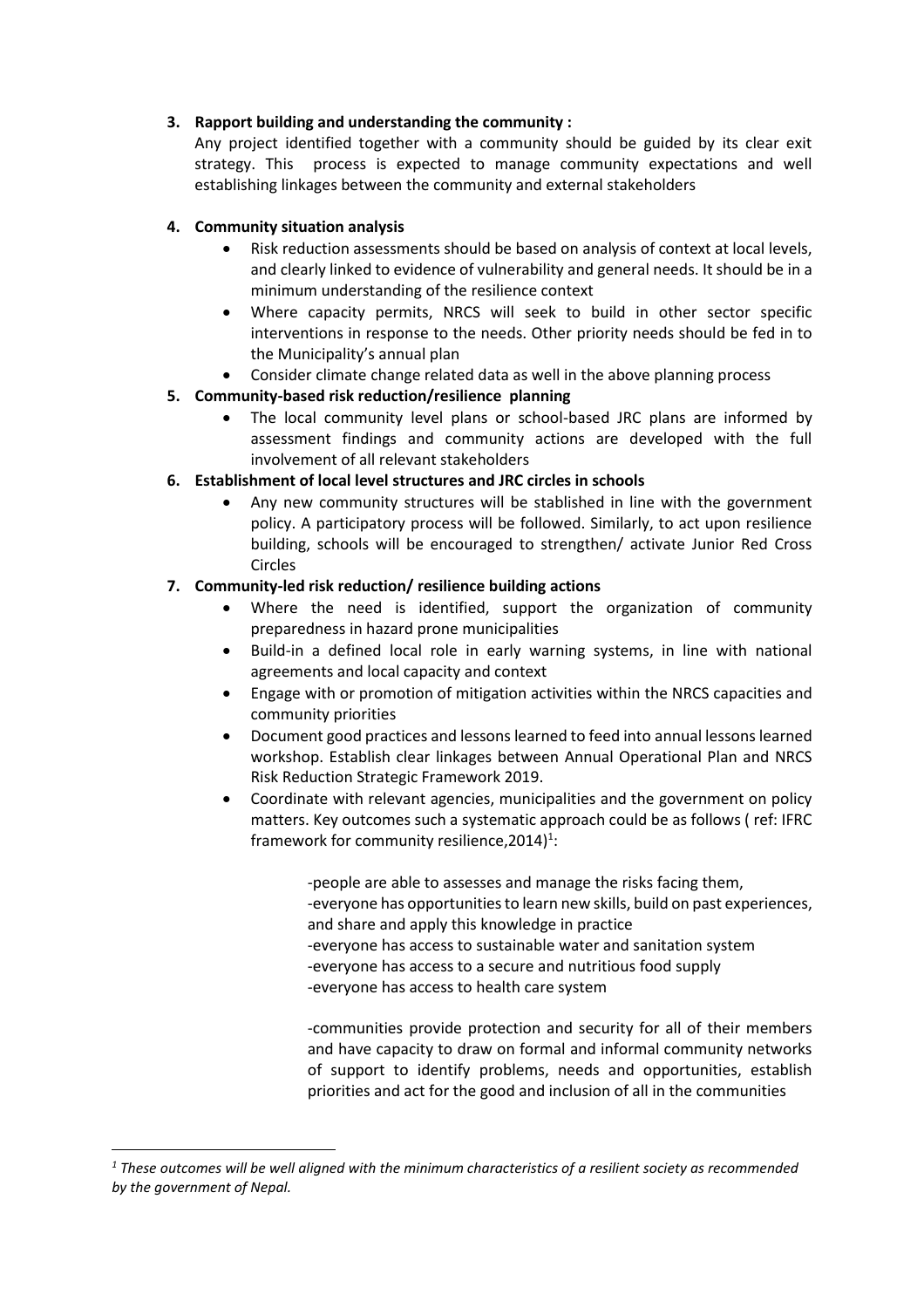## **3. Rapport building and understanding the community :**

Any project identified together with a community should be guided by its clear exit strategy. This process is expected to manage community expectations and well establishing linkages between the community and external stakeholders

## **4. Community situation analysis**

- Risk reduction assessments should be based on analysis of context at local levels, and clearly linked to evidence of vulnerability and general needs. It should be in a minimum understanding of the resilience context
- Where capacity permits, NRCS will seek to build in other sector specific interventions in response to the needs. Other priority needs should be fed in to the Municipality's annual plan
- Consider climate change related data as well in the above planning process

## **5. Community-based risk reduction/resilience planning**

• The local community level plans or school-based JRC plans are informed by assessment findings and community actions are developed with the full involvement of all relevant stakeholders

## **6. Establishment of local level structures and JRC circles in schools**

• Any new community structures will be stablished in line with the government policy. A participatory process will be followed. Similarly, to act upon resilience building, schools will be encouraged to strengthen/ activate Junior Red Cross Circles

## **7. Community-led risk reduction/ resilience building actions**

- Where the need is identified, support the organization of community preparedness in hazard prone municipalities
- Build-in a defined local role in early warning systems, in line with national agreements and local capacity and context
- Engage with or promotion of mitigation activities within the NRCS capacities and community priorities
- Document good practices and lessons learned to feed into annual lessons learned workshop. Establish clear linkages between Annual Operational Plan and NRCS Risk Reduction Strategic Framework 2019.
- Coordinate with relevant agencies, municipalities and the government on policy matters. Key outcomes such a systematic approach could be as follows ( ref: IFRC framework for community resilience,  $2014$ <sup>1</sup>:

-people are able to assesses and manage the risks facing them, -everyone has opportunities to learn new skills, build on past experiences, and share and apply this knowledge in practice -everyone has access to sustainable water and sanitation system -everyone has access to a secure and nutritious food supply -everyone has access to health care system

-communities provide protection and security for all of their members and have capacity to draw on formal and informal community networks of support to identify problems, needs and opportunities, establish priorities and act for the good and inclusion of all in the communities

*<sup>1</sup> These outcomes will be well aligned with the minimum characteristics of a resilient society as recommended by the government of Nepal.*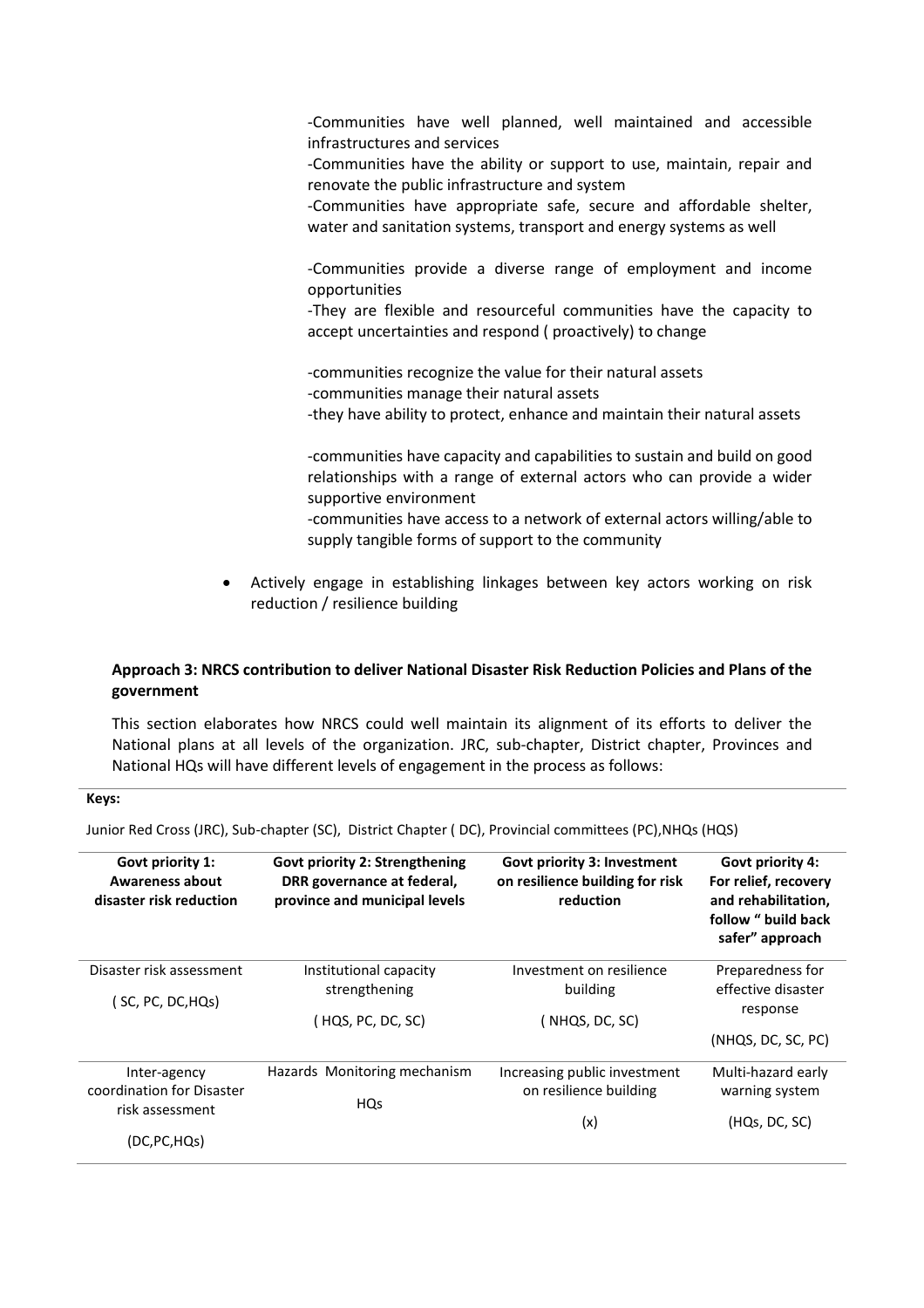-Communities have well planned, well maintained and accessible infrastructures and services

-Communities have the ability or support to use, maintain, repair and renovate the public infrastructure and system

-Communities have appropriate safe, secure and affordable shelter, water and sanitation systems, transport and energy systems as well

-Communities provide a diverse range of employment and income opportunities

-They are flexible and resourceful communities have the capacity to accept uncertainties and respond ( proactively) to change

-communities recognize the value for their natural assets -communities manage their natural assets

-they have ability to protect, enhance and maintain their natural assets

-communities have capacity and capabilities to sustain and build on good relationships with a range of external actors who can provide a wider supportive environment

-communities have access to a network of external actors willing/able to supply tangible forms of support to the community

• Actively engage in establishing linkages between key actors working on risk reduction / resilience building

### **Approach 3: NRCS contribution to deliver National Disaster Risk Reduction Policies and Plans of the government**

This section elaborates how NRCS could well maintain its alignment of its efforts to deliver the National plans at all levels of the organization. JRC, sub-chapter, District chapter, Provinces and National HQs will have different levels of engagement in the process as follows:

#### **Keys:**

Junior Red Cross (JRC), Sub-chapter (SC), District Chapter ( DC), Provincial committees (PC),NHQs (HQS)

| Govt priority 1:<br>Awareness about<br>disaster risk reduction | <b>Govt priority 2: Strengthening</b><br>DRR governance at federal,<br>province and municipal levels | Govt priority 3: Investment<br>on resilience building for risk<br>reduction | Govt priority 4:<br>For relief, recovery<br>and rehabilitation,<br>follow " build back<br>safer" approach |
|----------------------------------------------------------------|------------------------------------------------------------------------------------------------------|-----------------------------------------------------------------------------|-----------------------------------------------------------------------------------------------------------|
| Disaster risk assessment                                       | Institutional capacity                                                                               | Investment on resilience                                                    | Preparedness for                                                                                          |
| ( SC, PC, DC,HQs)                                              | strengthening                                                                                        | building                                                                    | effective disaster<br>response                                                                            |
|                                                                | ( HQS, PC, DC, SC)                                                                                   | NHQS, DC, SC)                                                               |                                                                                                           |
|                                                                |                                                                                                      |                                                                             | (NHQS, DC, SC, PC)                                                                                        |
| Inter-agency                                                   | Hazards Monitoring mechanism                                                                         | Increasing public investment                                                | Multi-hazard early                                                                                        |
| coordination for Disaster<br>risk assessment                   | <b>HQs</b>                                                                                           | on resilience building                                                      | warning system                                                                                            |
|                                                                |                                                                                                      | (x)                                                                         | (HQs, DC, SC)                                                                                             |
| (DC,PC,HQs)                                                    |                                                                                                      |                                                                             |                                                                                                           |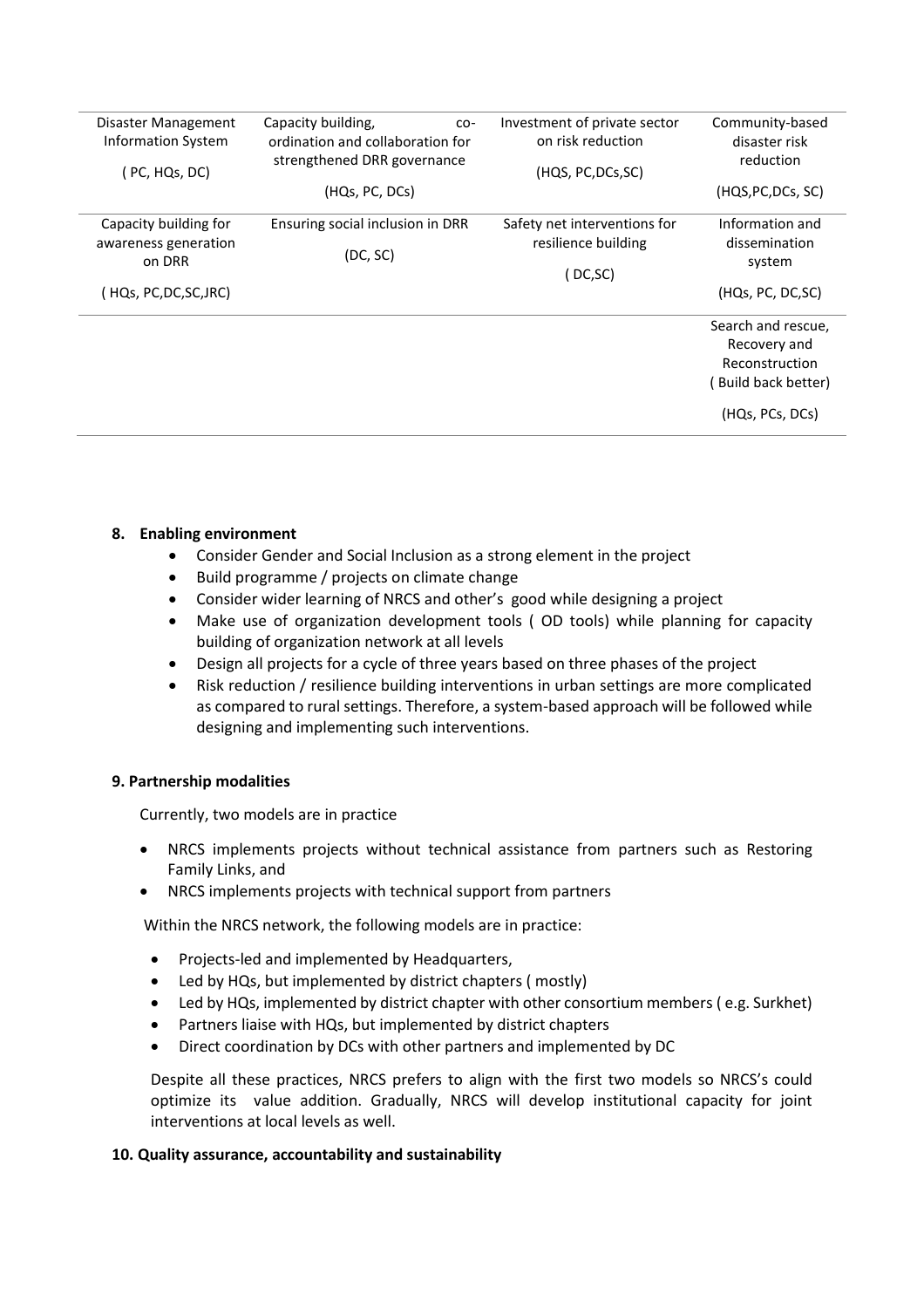| Disaster Management            | Capacity building,<br>co-                                       | Investment of private sector<br>on risk reduction | Community-based            |
|--------------------------------|-----------------------------------------------------------------|---------------------------------------------------|----------------------------|
| <b>Information System</b>      | ordination and collaboration for<br>strengthened DRR governance |                                                   | disaster risk<br>reduction |
| (PC, HQs, DC)                  |                                                                 | (HQS, PC, DCs, SC)                                |                            |
|                                | (HQs, PC, DCs)                                                  |                                                   | (HQS, PC, DCs, SC)         |
| Capacity building for          | Ensuring social inclusion in DRR                                | Safety net interventions for                      | Information and            |
| awareness generation<br>on DRR | (DC, SC)                                                        | resilience building                               | dissemination              |
|                                |                                                                 | (DC, SC)                                          | system                     |
| ( HQs, PC,DC,SC,JRC)           |                                                                 |                                                   | (HQs, PC, DC, SC)          |
|                                |                                                                 |                                                   | Search and rescue,         |
|                                |                                                                 |                                                   | Recovery and               |
|                                |                                                                 |                                                   | Reconstruction             |
|                                |                                                                 |                                                   | Build back better)         |
|                                |                                                                 |                                                   | (HQs, PCs, DCs)            |
|                                |                                                                 |                                                   |                            |

### **8. Enabling environment**

- Consider Gender and Social Inclusion as a strong element in the project
- Build programme / projects on climate change
- Consider wider learning of NRCS and other's good while designing a project
- Make use of organization development tools ( OD tools) while planning for capacity building of organization network at all levels
- Design all projects for a cycle of three years based on three phases of the project
- Risk reduction / resilience building interventions in urban settings are more complicated as compared to rural settings. Therefore, a system-based approach will be followed while designing and implementing such interventions.

### **9. Partnership modalities**

Currently, two models are in practice

- NRCS implements projects without technical assistance from partners such as Restoring Family Links, and
- NRCS implements projects with technical support from partners

Within the NRCS network, the following models are in practice:

- Projects-led and implemented by Headquarters,
- Led by HQs, but implemented by district chapters ( mostly)
- Led by HQs, implemented by district chapter with other consortium members ( e.g. Surkhet)
- Partners liaise with HQs, but implemented by district chapters
- Direct coordination by DCs with other partners and implemented by DC

Despite all these practices, NRCS prefers to align with the first two models so NRCS's could optimize its value addition. Gradually, NRCS will develop institutional capacity for joint interventions at local levels as well.

### **10. Quality assurance, accountability and sustainability**